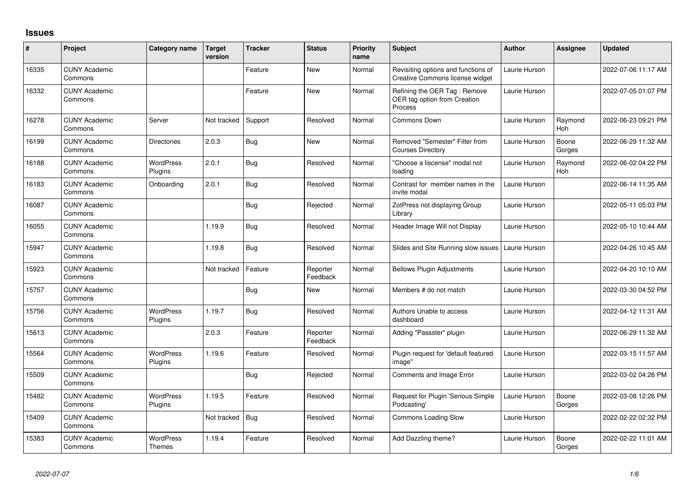## **Issues**

| #     | Project                         | Category name               | <b>Target</b><br>version | <b>Tracker</b> | <b>Status</b>        | <b>Priority</b><br>name | <b>Subject</b>                                                          | <b>Author</b> | Assignee        | <b>Updated</b>      |
|-------|---------------------------------|-----------------------------|--------------------------|----------------|----------------------|-------------------------|-------------------------------------------------------------------------|---------------|-----------------|---------------------|
| 16335 | <b>CUNY Academic</b><br>Commons |                             |                          | Feature        | <b>New</b>           | Normal                  | Revisiting options and functions of<br>Creative Commons license widget  | Laurie Hurson |                 | 2022-07-06 11:17 AM |
| 16332 | <b>CUNY Academic</b><br>Commons |                             |                          | Feature        | <b>New</b>           | Normal                  | Refining the OER Tag: Remove<br>OER tag option from Creation<br>Process | Laurie Hurson |                 | 2022-07-05 01:07 PM |
| 16278 | <b>CUNY Academic</b><br>Commons | Server                      | Not tracked              | Support        | Resolved             | Normal                  | <b>Commons Down</b>                                                     | Laurie Hurson | Raymond<br>Hoh  | 2022-06-23 09:21 PM |
| 16199 | <b>CUNY Academic</b><br>Commons | <b>Directories</b>          | 2.0.3                    | <b>Bug</b>     | <b>New</b>           | Normal                  | Removed "Semester" Filter from<br><b>Courses Directory</b>              | Laurie Hurson | Boone<br>Gorges | 2022-06-29 11:32 AM |
| 16188 | <b>CUNY Academic</b><br>Commons | <b>WordPress</b><br>Plugins | 2.0.1                    | <b>Bug</b>     | Resolved             | Normal                  | "Choose a liscense" modal not<br>loading                                | Laurie Hurson | Raymond<br>Hoh  | 2022-06-02 04:22 PM |
| 16183 | <b>CUNY Academic</b><br>Commons | Onboarding                  | 2.0.1                    | Bug            | Resolved             | Normal                  | Contrast for member names in the<br>invite modal                        | Laurie Hurson |                 | 2022-06-14 11:35 AM |
| 16087 | <b>CUNY Academic</b><br>Commons |                             |                          | Bug            | Rejected             | Normal                  | ZotPress not displaying Group<br>Librarv                                | Laurie Hurson |                 | 2022-05-11 05:03 PM |
| 16055 | <b>CUNY Academic</b><br>Commons |                             | 1.19.9                   | Bug            | Resolved             | Normal                  | Header Image Will not Display                                           | Laurie Hurson |                 | 2022-05-10 10:44 AM |
| 15947 | <b>CUNY Academic</b><br>Commons |                             | 1.19.8                   | <b>Bug</b>     | Resolved             | Normal                  | Slides and Site Running slow issues                                     | Laurie Hurson |                 | 2022-04-26 10:45 AM |
| 15923 | <b>CUNY Academic</b><br>Commons |                             | Not tracked              | Feature        | Reporter<br>Feedback | Normal                  | <b>Bellows Plugin Adjustments</b>                                       | Laurie Hurson |                 | 2022-04-20 10:10 AM |
| 15757 | <b>CUNY Academic</b><br>Commons |                             |                          | Bug            | <b>New</b>           | Normal                  | Members # do not match                                                  | Laurie Hurson |                 | 2022-03-30 04:52 PM |
| 15756 | <b>CUNY Academic</b><br>Commons | WordPress<br>Plugins        | 1.19.7                   | Bug            | Resolved             | Normal                  | <b>Authors Unable to access</b><br>dashboard                            | Laurie Hurson |                 | 2022-04-12 11:31 AM |
| 15613 | <b>CUNY Academic</b><br>Commons |                             | 2.0.3                    | Feature        | Reporter<br>Feedback | Normal                  | Adding "Passster" plugin                                                | Laurie Hurson |                 | 2022-06-29 11:32 AM |
| 15564 | <b>CUNY Academic</b><br>Commons | WordPress<br>Plugins        | 1.19.6                   | Feature        | Resolved             | Normal                  | Plugin request for 'default featured<br>image"                          | Laurie Hurson |                 | 2022-03-15 11:57 AM |
| 15509 | <b>CUNY Academic</b><br>Commons |                             |                          | Bug            | Rejected             | Normal                  | Comments and Image Error                                                | Laurie Hurson |                 | 2022-03-02 04:26 PM |
| 15482 | <b>CUNY Academic</b><br>Commons | <b>WordPress</b><br>Plugins | 1.19.5                   | Feature        | Resolved             | Normal                  | Request for Plugin 'Serious Simple<br>Podcasting'                       | Laurie Hurson | Boone<br>Gorges | 2022-03-08 12:26 PM |
| 15409 | <b>CUNY Academic</b><br>Commons |                             | Not tracked              | Bug            | Resolved             | Normal                  | <b>Commons Loading Slow</b>                                             | Laurie Hurson |                 | 2022-02-22 02:32 PM |
| 15383 | <b>CUNY Academic</b><br>Commons | WordPress<br>Themes         | 1.19.4                   | Feature        | Resolved             | Normal                  | Add Dazzling theme?                                                     | Laurie Hurson | Boone<br>Gorges | 2022-02-22 11:01 AM |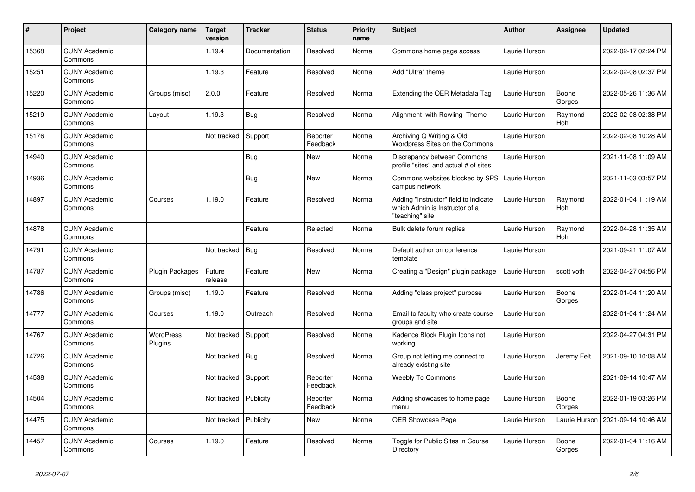| #     | <b>Project</b>                  | Category name               | Target<br>version | <b>Tracker</b> | <b>Status</b>        | <b>Priority</b><br>name | <b>Subject</b>                                                                             | <b>Author</b> | <b>Assignee</b>       | <b>Updated</b>      |
|-------|---------------------------------|-----------------------------|-------------------|----------------|----------------------|-------------------------|--------------------------------------------------------------------------------------------|---------------|-----------------------|---------------------|
| 15368 | <b>CUNY Academic</b><br>Commons |                             | 1.19.4            | Documentation  | Resolved             | Normal                  | Commons home page access                                                                   | Laurie Hurson |                       | 2022-02-17 02:24 PM |
| 15251 | <b>CUNY Academic</b><br>Commons |                             | 1.19.3            | Feature        | Resolved             | Normal                  | Add "Ultra" theme                                                                          | Laurie Hurson |                       | 2022-02-08 02:37 PM |
| 15220 | <b>CUNY Academic</b><br>Commons | Groups (misc)               | 2.0.0             | Feature        | Resolved             | Normal                  | Extending the OER Metadata Tag                                                             | Laurie Hurson | Boone<br>Gorges       | 2022-05-26 11:36 AM |
| 15219 | <b>CUNY Academic</b><br>Commons | Layout                      | 1.19.3            | Bug            | Resolved             | Normal                  | Alignment with Rowling Theme                                                               | Laurie Hurson | Raymond<br><b>Hoh</b> | 2022-02-08 02:38 PM |
| 15176 | <b>CUNY Academic</b><br>Commons |                             | Not tracked       | Support        | Reporter<br>Feedback | Normal                  | Archiving Q Writing & Old<br><b>Wordpress Sites on the Commons</b>                         | Laurie Hurson |                       | 2022-02-08 10:28 AM |
| 14940 | <b>CUNY Academic</b><br>Commons |                             |                   | Bug            | New                  | Normal                  | Discrepancy between Commons<br>profile "sites" and actual # of sites                       | Laurie Hurson |                       | 2021-11-08 11:09 AM |
| 14936 | <b>CUNY Academic</b><br>Commons |                             |                   | <b>Bug</b>     | <b>New</b>           | Normal                  | Commons websites blocked by SPS<br>campus network                                          | Laurie Hurson |                       | 2021-11-03 03:57 PM |
| 14897 | <b>CUNY Academic</b><br>Commons | Courses                     | 1.19.0            | Feature        | Resolved             | Normal                  | Adding "Instructor" field to indicate<br>which Admin is Instructor of a<br>"teaching" site | Laurie Hurson | Raymond<br>Hoh        | 2022-01-04 11:19 AM |
| 14878 | <b>CUNY Academic</b><br>Commons |                             |                   | Feature        | Rejected             | Normal                  | Bulk delete forum replies                                                                  | Laurie Hurson | Raymond<br>Hoh        | 2022-04-28 11:35 AM |
| 14791 | <b>CUNY Academic</b><br>Commons |                             | Not tracked       | <b>Bug</b>     | Resolved             | Normal                  | Default author on conference<br>template                                                   | Laurie Hurson |                       | 2021-09-21 11:07 AM |
| 14787 | <b>CUNY Academic</b><br>Commons | Plugin Packages             | Future<br>release | Feature        | <b>New</b>           | Normal                  | Creating a "Design" plugin package                                                         | Laurie Hurson | scott voth            | 2022-04-27 04:56 PM |
| 14786 | <b>CUNY Academic</b><br>Commons | Groups (misc)               | 1.19.0            | Feature        | Resolved             | Normal                  | Adding "class project" purpose                                                             | Laurie Hurson | Boone<br>Gorges       | 2022-01-04 11:20 AM |
| 14777 | <b>CUNY Academic</b><br>Commons | Courses                     | 1.19.0            | Outreach       | Resolved             | Normal                  | Email to faculty who create course<br>groups and site                                      | Laurie Hurson |                       | 2022-01-04 11:24 AM |
| 14767 | <b>CUNY Academic</b><br>Commons | <b>WordPress</b><br>Plugins | Not tracked       | Support        | Resolved             | Normal                  | Kadence Block Plugin Icons not<br>workina                                                  | Laurie Hurson |                       | 2022-04-27 04:31 PM |
| 14726 | <b>CUNY Academic</b><br>Commons |                             | Not tracked       | Bug            | Resolved             | Normal                  | Group not letting me connect to<br>already existing site                                   | Laurie Hurson | Jeremy Felt           | 2021-09-10 10:08 AM |
| 14538 | <b>CUNY Academic</b><br>Commons |                             | Not tracked       | Support        | Reporter<br>Feedback | Normal                  | <b>Weebly To Commons</b>                                                                   | Laurie Hurson |                       | 2021-09-14 10:47 AM |
| 14504 | <b>CUNY Academic</b><br>Commons |                             | Not tracked       | Publicity      | Reporter<br>Feedback | Normal                  | Adding showcases to home page<br>menu                                                      | Laurie Hurson | Boone<br>Gorges       | 2022-01-19 03:26 PM |
| 14475 | <b>CUNY Academic</b><br>Commons |                             | Not tracked       | Publicity      | <b>New</b>           | Normal                  | <b>OER Showcase Page</b>                                                                   | Laurie Hurson | Laurie Hurson         | 2021-09-14 10:46 AM |
| 14457 | <b>CUNY Academic</b><br>Commons | Courses                     | 1.19.0            | Feature        | Resolved             | Normal                  | Toggle for Public Sites in Course<br>Directory                                             | Laurie Hurson | Boone<br>Gorges       | 2022-01-04 11:16 AM |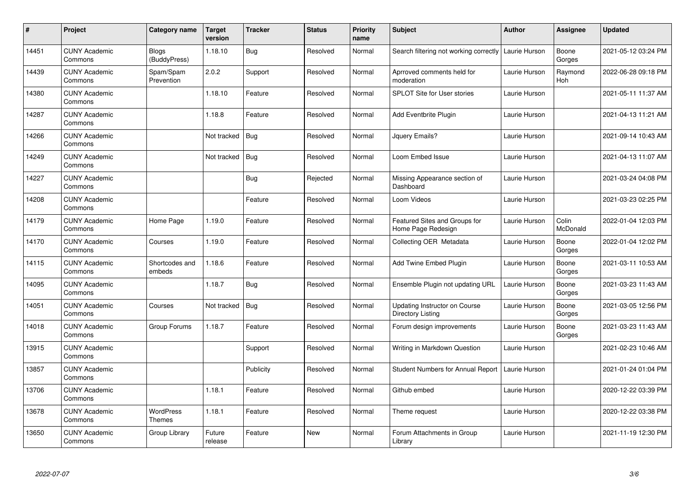| $\sharp$ | Project                         | Category name                | <b>Target</b><br>version | <b>Tracker</b> | <b>Status</b> | <b>Priority</b><br>name | <b>Subject</b>                                            | Author        | Assignee          | <b>Updated</b>      |
|----------|---------------------------------|------------------------------|--------------------------|----------------|---------------|-------------------------|-----------------------------------------------------------|---------------|-------------------|---------------------|
| 14451    | <b>CUNY Academic</b><br>Commons | <b>Blogs</b><br>(BuddyPress) | 1.18.10                  | <b>Bug</b>     | Resolved      | Normal                  | Search filtering not working correctly                    | Laurie Hurson | Boone<br>Gorges   | 2021-05-12 03:24 PM |
| 14439    | <b>CUNY Academic</b><br>Commons | Spam/Spam<br>Prevention      | 2.0.2                    | Support        | Resolved      | Normal                  | Aprroved comments held for<br>moderation                  | Laurie Hurson | Raymond<br>Hoh    | 2022-06-28 09:18 PM |
| 14380    | <b>CUNY Academic</b><br>Commons |                              | 1.18.10                  | Feature        | Resolved      | Normal                  | SPLOT Site for User stories                               | Laurie Hurson |                   | 2021-05-11 11:37 AM |
| 14287    | <b>CUNY Academic</b><br>Commons |                              | 1.18.8                   | Feature        | Resolved      | Normal                  | Add Eventbrite Plugin                                     | Laurie Hurson |                   | 2021-04-13 11:21 AM |
| 14266    | <b>CUNY Academic</b><br>Commons |                              | Not tracked              | Bug            | Resolved      | Normal                  | Jquery Emails?                                            | Laurie Hurson |                   | 2021-09-14 10:43 AM |
| 14249    | <b>CUNY Academic</b><br>Commons |                              | Not tracked              | Bug            | Resolved      | Normal                  | Loom Embed Issue                                          | Laurie Hurson |                   | 2021-04-13 11:07 AM |
| 14227    | <b>CUNY Academic</b><br>Commons |                              |                          | <b>Bug</b>     | Rejected      | Normal                  | Missing Appearance section of<br>Dashboard                | Laurie Hurson |                   | 2021-03-24 04:08 PM |
| 14208    | <b>CUNY Academic</b><br>Commons |                              |                          | Feature        | Resolved      | Normal                  | Loom Videos                                               | Laurie Hurson |                   | 2021-03-23 02:25 PM |
| 14179    | <b>CUNY Academic</b><br>Commons | Home Page                    | 1.19.0                   | Feature        | Resolved      | Normal                  | Featured Sites and Groups for<br>Home Page Redesign       | Laurie Hurson | Colin<br>McDonald | 2022-01-04 12:03 PM |
| 14170    | <b>CUNY Academic</b><br>Commons | Courses                      | 1.19.0                   | Feature        | Resolved      | Normal                  | Collecting OER Metadata                                   | Laurie Hurson | Boone<br>Gorges   | 2022-01-04 12:02 PM |
| 14115    | <b>CUNY Academic</b><br>Commons | Shortcodes and<br>embeds     | 1.18.6                   | Feature        | Resolved      | Normal                  | Add Twine Embed Plugin                                    | Laurie Hurson | Boone<br>Gorges   | 2021-03-11 10:53 AM |
| 14095    | <b>CUNY Academic</b><br>Commons |                              | 1.18.7                   | Bug            | Resolved      | Normal                  | Ensemble Plugin not updating URL                          | Laurie Hurson | Boone<br>Gorges   | 2021-03-23 11:43 AM |
| 14051    | <b>CUNY Academic</b><br>Commons | Courses                      | Not tracked              | Bug            | Resolved      | Normal                  | Updating Instructor on Course<br><b>Directory Listing</b> | Laurie Hurson | Boone<br>Gorges   | 2021-03-05 12:56 PM |
| 14018    | <b>CUNY Academic</b><br>Commons | Group Forums                 | 1.18.7                   | Feature        | Resolved      | Normal                  | Forum design improvements                                 | Laurie Hurson | Boone<br>Gorges   | 2021-03-23 11:43 AM |
| 13915    | <b>CUNY Academic</b><br>Commons |                              |                          | Support        | Resolved      | Normal                  | Writing in Markdown Question                              | Laurie Hurson |                   | 2021-02-23 10:46 AM |
| 13857    | <b>CUNY Academic</b><br>Commons |                              |                          | Publicity      | Resolved      | Normal                  | Student Numbers for Annual Report                         | Laurie Hurson |                   | 2021-01-24 01:04 PM |
| 13706    | <b>CUNY Academic</b><br>Commons |                              | 1.18.1                   | Feature        | Resolved      | Normal                  | Github embed                                              | Laurie Hurson |                   | 2020-12-22 03:39 PM |
| 13678    | <b>CUNY Academic</b><br>Commons | WordPress<br>Themes          | 1.18.1                   | Feature        | Resolved      | Normal                  | Theme request                                             | Laurie Hurson |                   | 2020-12-22 03:38 PM |
| 13650    | <b>CUNY Academic</b><br>Commons | Group Library                | Future<br>release        | Feature        | <b>New</b>    | Normal                  | Forum Attachments in Group<br>Library                     | Laurie Hurson |                   | 2021-11-19 12:30 PM |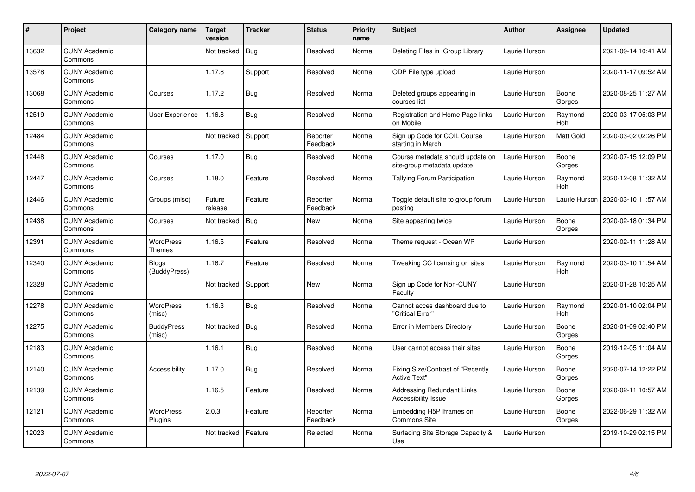| #     | Project                         | Category name               | Target<br>version | <b>Tracker</b> | <b>Status</b>        | <b>Priority</b><br>name | <b>Subject</b>                                                  | <b>Author</b> | <b>Assignee</b>       | <b>Updated</b>      |
|-------|---------------------------------|-----------------------------|-------------------|----------------|----------------------|-------------------------|-----------------------------------------------------------------|---------------|-----------------------|---------------------|
| 13632 | <b>CUNY Academic</b><br>Commons |                             | Not tracked       | Bug            | Resolved             | Normal                  | Deleting Files in Group Library                                 | Laurie Hurson |                       | 2021-09-14 10:41 AM |
| 13578 | <b>CUNY Academic</b><br>Commons |                             | 1.17.8            | Support        | Resolved             | Normal                  | ODP File type upload                                            | Laurie Hurson |                       | 2020-11-17 09:52 AM |
| 13068 | <b>CUNY Academic</b><br>Commons | Courses                     | 1.17.2            | Bug            | Resolved             | Normal                  | Deleted groups appearing in<br>courses list                     | Laurie Hurson | Boone<br>Gorges       | 2020-08-25 11:27 AM |
| 12519 | <b>CUNY Academic</b><br>Commons | User Experience             | 1.16.8            | <b>Bug</b>     | Resolved             | Normal                  | Registration and Home Page links<br>on Mobile                   | Laurie Hurson | Raymond<br><b>Hoh</b> | 2020-03-17 05:03 PM |
| 12484 | <b>CUNY Academic</b><br>Commons |                             | Not tracked       | Support        | Reporter<br>Feedback | Normal                  | Sign up Code for COIL Course<br>starting in March               | Laurie Hurson | <b>Matt Gold</b>      | 2020-03-02 02:26 PM |
| 12448 | <b>CUNY Academic</b><br>Commons | Courses                     | 1.17.0            | Bug            | Resolved             | Normal                  | Course metadata should update on<br>site/group metadata update  | Laurie Hurson | Boone<br>Gorges       | 2020-07-15 12:09 PM |
| 12447 | <b>CUNY Academic</b><br>Commons | Courses                     | 1.18.0            | Feature        | Resolved             | Normal                  | Tallying Forum Participation                                    | Laurie Hurson | Raymond<br>Hoh        | 2020-12-08 11:32 AM |
| 12446 | <b>CUNY Academic</b><br>Commons | Groups (misc)               | Future<br>release | Feature        | Reporter<br>Feedback | Normal                  | Toggle default site to group forum<br>postina                   | Laurie Hurson | Laurie Hurson         | 2020-03-10 11:57 AM |
| 12438 | <b>CUNY Academic</b><br>Commons | Courses                     | Not tracked       | <b>Bug</b>     | <b>New</b>           | Normal                  | Site appearing twice                                            | Laurie Hurson | Boone<br>Gorges       | 2020-02-18 01:34 PM |
| 12391 | <b>CUNY Academic</b><br>Commons | <b>WordPress</b><br>Themes  | 1.16.5            | Feature        | Resolved             | Normal                  | Theme request - Ocean WP                                        | Laurie Hurson |                       | 2020-02-11 11:28 AM |
| 12340 | <b>CUNY Academic</b><br>Commons | Blogs<br>(BuddyPress)       | 1.16.7            | Feature        | Resolved             | Normal                  | Tweaking CC licensing on sites                                  | Laurie Hurson | Raymond<br>Hoh        | 2020-03-10 11:54 AM |
| 12328 | <b>CUNY Academic</b><br>Commons |                             | Not tracked       | Support        | New                  | Normal                  | Sign up Code for Non-CUNY<br>Faculty                            | Laurie Hurson |                       | 2020-01-28 10:25 AM |
| 12278 | <b>CUNY Academic</b><br>Commons | <b>WordPress</b><br>(misc)  | 1.16.3            | <b>Bug</b>     | Resolved             | Normal                  | Cannot acces dashboard due to<br>"Critical Error"               | Laurie Hurson | Raymond<br>Hoh        | 2020-01-10 02:04 PM |
| 12275 | <b>CUNY Academic</b><br>Commons | <b>BuddyPress</b><br>(misc) | Not tracked       | <b>Bug</b>     | Resolved             | Normal                  | Error in Members Directory                                      | Laurie Hurson | Boone<br>Gorges       | 2020-01-09 02:40 PM |
| 12183 | <b>CUNY Academic</b><br>Commons |                             | 1.16.1            | <b>Bug</b>     | Resolved             | Normal                  | User cannot access their sites                                  | Laurie Hurson | Boone<br>Gorges       | 2019-12-05 11:04 AM |
| 12140 | <b>CUNY Academic</b><br>Commons | Accessibility               | 1.17.0            | <b>Bug</b>     | Resolved             | Normal                  | Fixing Size/Contrast of "Recently<br><b>Active Text"</b>        | Laurie Hurson | Boone<br>Gorges       | 2020-07-14 12:22 PM |
| 12139 | <b>CUNY Academic</b><br>Commons |                             | 1.16.5            | Feature        | Resolved             | Normal                  | <b>Addressing Redundant Links</b><br><b>Accessibility Issue</b> | Laurie Hurson | Boone<br>Gorges       | 2020-02-11 10:57 AM |
| 12121 | <b>CUNY Academic</b><br>Commons | <b>WordPress</b><br>Plugins | 2.0.3             | Feature        | Reporter<br>Feedback | Normal                  | Embedding H5P Iframes on<br>Commons Site                        | Laurie Hurson | Boone<br>Gorges       | 2022-06-29 11:32 AM |
| 12023 | <b>CUNY Academic</b><br>Commons |                             | Not tracked       | Feature        | Rejected             | Normal                  | Surfacing Site Storage Capacity &<br>Use                        | Laurie Hurson |                       | 2019-10-29 02:15 PM |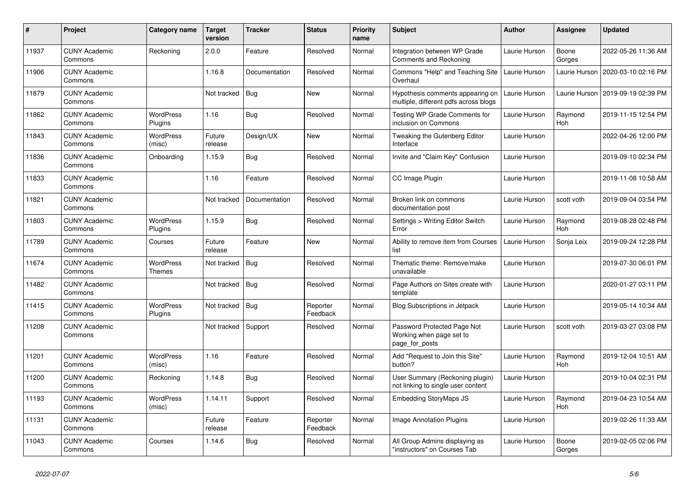| $\#$  | Project                         | Category name               | <b>Target</b><br>version | <b>Tracker</b> | <b>Status</b>        | <b>Priority</b><br>name | <b>Subject</b>                                                            | Author        | <b>Assignee</b> | <b>Updated</b>      |
|-------|---------------------------------|-----------------------------|--------------------------|----------------|----------------------|-------------------------|---------------------------------------------------------------------------|---------------|-----------------|---------------------|
| 11937 | <b>CUNY Academic</b><br>Commons | Reckoning                   | 2.0.0                    | Feature        | Resolved             | Normal                  | Integration between WP Grade<br><b>Comments and Reckoning</b>             | Laurie Hurson | Boone<br>Gorges | 2022-05-26 11:36 AM |
| 11906 | <b>CUNY Academic</b><br>Commons |                             | 1.16.8                   | Documentation  | Resolved             | Normal                  | Commons "Help" and Teaching Site<br>Overhaul                              | Laurie Hurson | Laurie Hurson   | 2020-03-10 02:16 PM |
| 11879 | <b>CUNY Academic</b><br>Commons |                             | Not tracked              | <b>Bug</b>     | <b>New</b>           | Normal                  | Hypothesis comments appearing on<br>multiple, different pdfs across blogs | Laurie Hurson | Laurie Hurson   | 2019-09-19 02:39 PM |
| 11862 | <b>CUNY Academic</b><br>Commons | <b>WordPress</b><br>Plugins | 1.16                     | <b>Bug</b>     | Resolved             | Normal                  | Testing WP Grade Comments for<br>inclusion on Commons                     | Laurie Hurson | Raymond<br>Hoh  | 2019-11-15 12:54 PM |
| 11843 | <b>CUNY Academic</b><br>Commons | <b>WordPress</b><br>(misc)  | Future<br>release        | Design/UX      | <b>New</b>           | Normal                  | Tweaking the Gutenberg Editor<br>Interface                                | Laurie Hurson |                 | 2022-04-26 12:00 PM |
| 11836 | <b>CUNY Academic</b><br>Commons | Onboarding                  | 1.15.9                   | Bug            | Resolved             | Normal                  | Invite and "Claim Key" Confusion                                          | Laurie Hurson |                 | 2019-09-10 02:34 PM |
| 11833 | <b>CUNY Academic</b><br>Commons |                             | 1.16                     | Feature        | Resolved             | Normal                  | CC Image Plugin                                                           | Laurie Hurson |                 | 2019-11-08 10:58 AM |
| 11821 | <b>CUNY Academic</b><br>Commons |                             | Not tracked              | Documentation  | Resolved             | Normal                  | Broken link on commons<br>documentation post                              | Laurie Hurson | scott voth      | 2019-09-04 03:54 PM |
| 11803 | <b>CUNY Academic</b><br>Commons | WordPress<br>Plugins        | 1.15.9                   | Bug            | Resolved             | Normal                  | Settings > Writing Editor Switch<br>Error                                 | Laurie Hurson | Raymond<br>Hoh  | 2019-08-28 02:48 PM |
| 11789 | <b>CUNY Academic</b><br>Commons | Courses                     | Future<br>release        | Feature        | New                  | Normal                  | Ability to remove item from Courses<br>list                               | Laurie Hurson | Sonja Leix      | 2019-09-24 12:28 PM |
| 11674 | <b>CUNY Academic</b><br>Commons | <b>WordPress</b><br>Themes  | Not tracked              | <b>Bug</b>     | Resolved             | Normal                  | Thematic theme: Remove/make<br>unavailable                                | Laurie Hurson |                 | 2019-07-30 06:01 PM |
| 11482 | <b>CUNY Academic</b><br>Commons |                             | Not tracked              | <b>Bug</b>     | Resolved             | Normal                  | Page Authors on Sites create with<br>template                             | Laurie Hurson |                 | 2020-01-27 03:11 PM |
| 11415 | <b>CUNY Academic</b><br>Commons | WordPress<br>Plugins        | Not tracked              | Bug            | Reporter<br>Feedback | Normal                  | Blog Subscriptions in Jetpack                                             | Laurie Hurson |                 | 2019-05-14 10:34 AM |
| 11208 | <b>CUNY Academic</b><br>Commons |                             | Not tracked              | Support        | Resolved             | Normal                  | Password Protected Page Not<br>Working when page set to<br>page for posts | Laurie Hurson | scott voth      | 2019-03-27 03:08 PM |
| 11201 | <b>CUNY Academic</b><br>Commons | <b>WordPress</b><br>(misc)  | 1.16                     | Feature        | Resolved             | Normal                  | Add "Request to Join this Site"<br>button?                                | Laurie Hurson | Raymond<br>Hoh  | 2019-12-04 10:51 AM |
| 11200 | <b>CUNY Academic</b><br>Commons | Reckoning                   | 1.14.8                   | Bug            | Resolved             | Normal                  | User Summary (Reckoning plugin)<br>not linking to single user content     | Laurie Hurson |                 | 2019-10-04 02:31 PM |
| 11193 | <b>CUNY Academic</b><br>Commons | WordPress<br>(misc)         | 1.14.11                  | Support        | Resolved             | Normal                  | <b>Embedding StoryMaps JS</b>                                             | Laurie Hurson | Raymond<br>Hoh  | 2019-04-23 10:54 AM |
| 11131 | <b>CUNY Academic</b><br>Commons |                             | Future<br>release        | Feature        | Reporter<br>Feedback | Normal                  | <b>Image Annotation Plugins</b>                                           | Laurie Hurson |                 | 2019-02-26 11:33 AM |
| 11043 | <b>CUNY Academic</b><br>Commons | Courses                     | 1.14.6                   | <b>Bug</b>     | Resolved             | Normal                  | All Group Admins displaying as<br>"instructors" on Courses Tab            | Laurie Hurson | Boone<br>Gorges | 2019-02-05 02:06 PM |